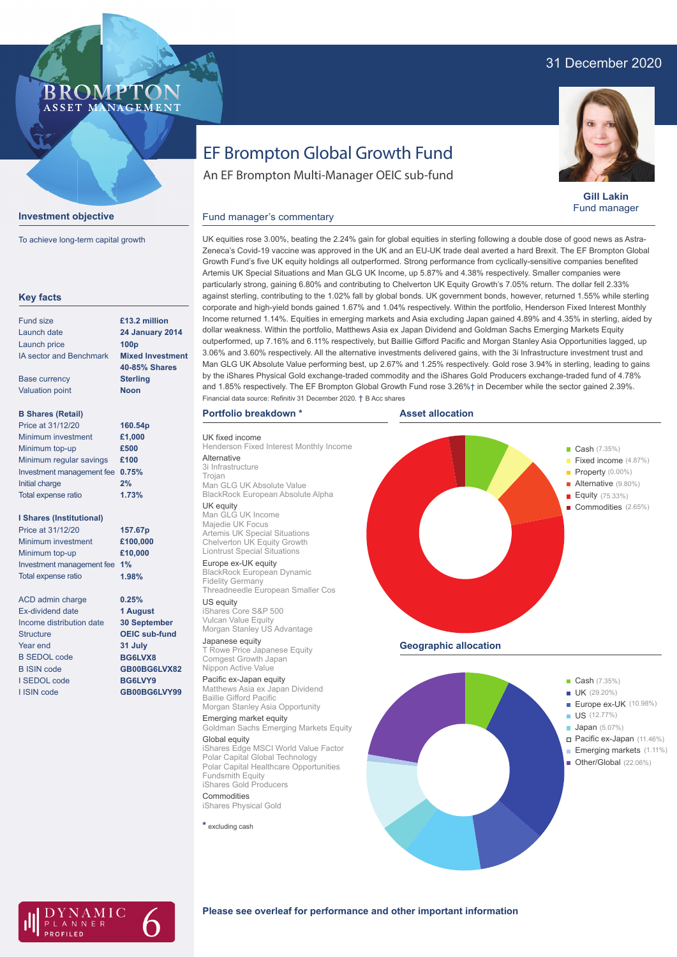# 31 December 2020

## **BROMPTO** ASSET MANAGEMENT



**Gill Lakin** Fund manager

# **Investment objective**

To achieve long-term capital growth

| <b>Fund size</b>                | £13.2 million                                   |
|---------------------------------|-------------------------------------------------|
| Launch date                     | <b>24 January 2014</b>                          |
| Launch price                    | 100 <sub>p</sub>                                |
| <b>IA sector and Benchmark</b>  | <b>Mixed Investment</b><br><b>40-85% Shares</b> |
| <b>Base currency</b>            | <b>Sterling</b>                                 |
| <b>Valuation point</b>          | <b>Noon</b>                                     |
| <b>B Shares (Retail)</b>        |                                                 |
| Price at 31/12/20               | 160.54p                                         |
| Minimum investment              | £1,000                                          |
| Minimum top-up                  | £500                                            |
| Minimum regular savings         | £100                                            |
| Investment management fee       | 0.75%                                           |
| <b>Initial charge</b>           | 2%                                              |
| Total expense ratio             | 1.73%                                           |
| <b>I Shares (Institutional)</b> |                                                 |
| Price at 31/12/20               | 157.67p                                         |
| Minimum investment              | £100,000                                        |
| Minimum top-up                  | £10,000                                         |
| Investment management fee       | 1%                                              |
| Total expense ratio             | 1.98%                                           |
| <b>ACD</b> admin charge         | 0.25%                                           |
| <b>Ex-dividend date</b>         | 1 August                                        |
| Income distribution date        | <b>30 September</b>                             |
| <b>Structure</b>                | <b>OEIC sub-fund</b>                            |
| Year end                        | 31 July                                         |
| <b>B SEDOL code</b>             | BG6LVX8                                         |
| <b>B ISIN code</b>              | GB00BG6LVX82                                    |
| <b>SEDOL</b> code               | BG6LVY9                                         |
| I ISIN code                     | GB00BG6LVY99                                    |

# EF Brompton Global Growth Fund

An EF Brompton Multi-Manager OEIC sub-fund

#### UK equities rose 3.00%, beating the 2.24% gain for global equities in sterling following a double dose of good news as Astra-Zeneca's Covid-19 vaccine was approved in the UK and an EU-UK trade deal averted a hard Brexit. The EF Brompton Global Growth Fund's five UK equity holdings all outperformed. Strong performance from cyclically-sensitive companies benefited Artemis UK Special Situations and Man GLG UK Income, up 5.87% and 4.38% respectively. Smaller companies were particularly strong, gaining 6.80% and contributing to Chelverton UK Equity Growth's 7.05% return. The dollar fell 2.33% against sterling, contributing to the 1.02% fall by global bonds. UK government bonds, however, returned 1.55% while sterling corporate and high-yield bonds gained 1.67% and 1.04% respectively. Within the portfolio, Henderson Fixed Interest Monthly Income returned 1.14%. Equities in emerging markets and Asia excluding Japan gained 4.89% and 4.35% in sterling, aided by dollar weakness. Within the portfolio, Matthews Asia ex Japan Dividend and Goldman Sachs Emerging Markets Equity outperformed, up 7.16% and 6.11% respectively, but Baillie Gifford Pacific and Morgan Stanley Asia Opportunities lagged, up 3.06% and 3.60% respectively. All the alternative investments delivered gains, with the 3i Infrastructure investment trust and Man GLG UK Absolute Value performing best, up 2.67% and 1.25% respectively. Gold rose 3.94% in sterling, leading to gains by the iShares Physical Gold exchange-traded commodity and the iShares Gold Producers exchange-traded fund of 4.78% and 1.85% respectively. The EF Brompton Global Growth Fund rose 3.26%† in December while the sector gained 2.39%. Financial data source: Refinitiv 31 December 2020. † B Acc shares

### **Portfolio breakdown \***

Fund manager's commentary

UK fixed income Henderson Fixed Interest Monthly Income **Alternative** 3i Infrastructure Trojan

Man GLG UK Absolute Value BlackRock European Absolute Alpha UK equity

#### Man GLG UK Income

Majedie UK Focus Artemis UK Special Situations Chelverton UK Equity Growth Liontrust Special Situations Europe ex-UK equity

BlackRock European Dynamic Fidelity Germany Threadneedle European Smaller Cos

US equity iShares Core S&P 500 Vulcan Value Equity Morgan Stanley US Advantage

Japanese equity T Rowe Price Japanese Equity Comgest Growth Japan Nippon Active Value

#### Pacific ex-Japan equity Matthews Asia ex Japan Dividend Baillie Gifford Pacific

Morgan Stanley Asia Opportunity Emerging market equity Goldman Sachs Emerging Markets Equity

## Global equity

iShares Edge MSCI World Value Factor Polar Capital Global Technology Polar Capital Healthcare Opportunities Fundsmith Equity iShares Gold Producers

Commodities iShares Physical Gold

**\*** excluding cash





# **Please see overleaf for performance and other important information**